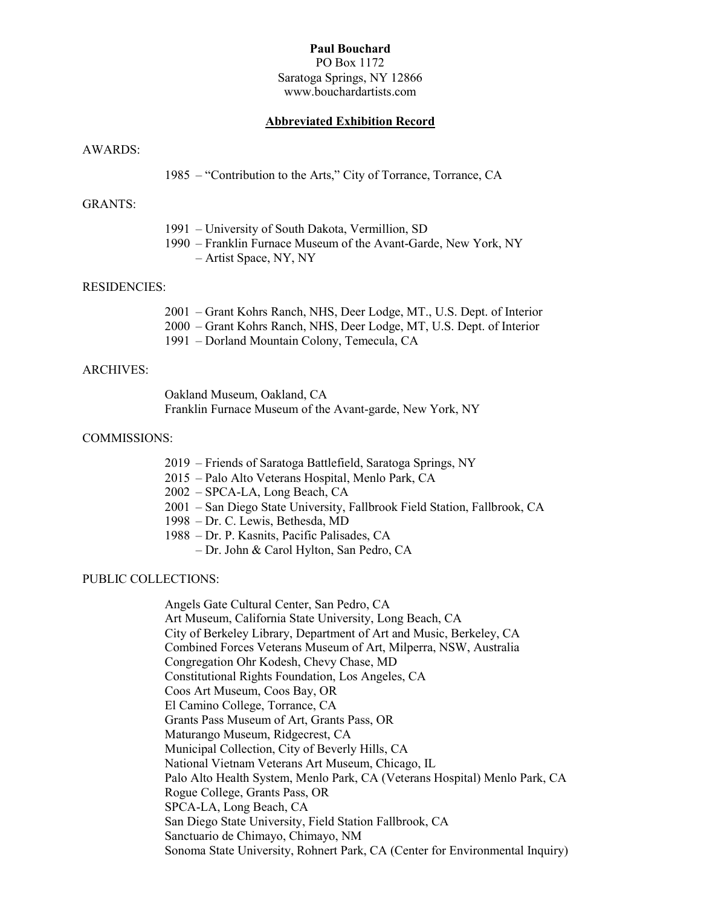## Paul Bouchard

PO Box 1172 Saratoga Springs, NY 12866 www.bouchardartists.com

#### Abbreviated Exhibition Record

#### AWARDS:

1985 – "Contribution to the Arts," City of Torrance, Torrance, CA

# GRANTS:

- 1991 University of South Dakota, Vermillion, SD
- 1990 Franklin Furnace Museum of the Avant-Garde, New York, NY – Artist Space, NY, NY

#### RESIDENCIES:

- 2001 Grant Kohrs Ranch, NHS, Deer Lodge, MT., U.S. Dept. of Interior
- 2000 Grant Kohrs Ranch, NHS, Deer Lodge, MT, U.S. Dept. of Interior
- 1991 Dorland Mountain Colony, Temecula, CA

## ARCHIVES:

 Oakland Museum, Oakland, CA Franklin Furnace Museum of the Avant-garde, New York, NY

#### COMMISSIONS:

- 2019 Friends of Saratoga Battlefield, Saratoga Springs, NY
- 2015 Palo Alto Veterans Hospital, Menlo Park, CA
- 2002 SPCA-LA, Long Beach, CA
- 2001 San Diego State University, Fallbrook Field Station, Fallbrook, CA
- 1998 Dr. C. Lewis, Bethesda, MD
- 1988 Dr. P. Kasnits, Pacific Palisades, CA
	- Dr. John & Carol Hylton, San Pedro, CA

# PUBLIC COLLECTIONS:

 Angels Gate Cultural Center, San Pedro, CA Art Museum, California State University, Long Beach, CA City of Berkeley Library, Department of Art and Music, Berkeley, CA Combined Forces Veterans Museum of Art, Milperra, NSW, Australia Congregation Ohr Kodesh, Chevy Chase, MD Constitutional Rights Foundation, Los Angeles, CA Coos Art Museum, Coos Bay, OR El Camino College, Torrance, CA Grants Pass Museum of Art, Grants Pass, OR Maturango Museum, Ridgecrest, CA Municipal Collection, City of Beverly Hills, CA National Vietnam Veterans Art Museum, Chicago, IL Palo Alto Health System, Menlo Park, CA (Veterans Hospital) Menlo Park, CA Rogue College, Grants Pass, OR SPCA-LA, Long Beach, CA San Diego State University, Field Station Fallbrook, CA Sanctuario de Chimayo, Chimayo, NM Sonoma State University, Rohnert Park, CA (Center for Environmental Inquiry)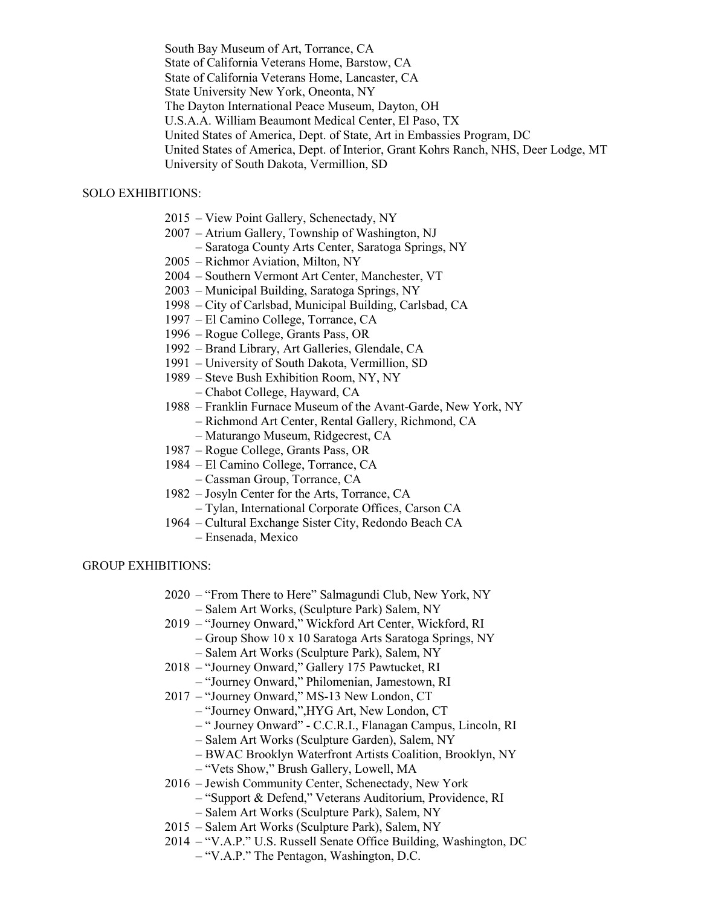South Bay Museum of Art, Torrance, CA State of California Veterans Home, Barstow, CA State of California Veterans Home, Lancaster, CA State University New York, Oneonta, NY The Dayton International Peace Museum, Dayton, OH U.S.A.A. William Beaumont Medical Center, El Paso, TX United States of America, Dept. of State, Art in Embassies Program, DC United States of America, Dept. of Interior, Grant Kohrs Ranch, NHS, Deer Lodge, MT University of South Dakota, Vermillion, SD

## SOLO EXHIBITIONS:

- 2015 View Point Gallery, Schenectady, NY
- 2007 Atrium Gallery, Township of Washington, NJ
	- Saratoga County Arts Center, Saratoga Springs, NY
- 2005 Richmor Aviation, Milton, NY
- 2004 Southern Vermont Art Center, Manchester, VT
- 2003 Municipal Building, Saratoga Springs, NY
- 1998 City of Carlsbad, Municipal Building, Carlsbad, CA
- 1997 El Camino College, Torrance, CA
- 1996 Rogue College, Grants Pass, OR
- 1992 Brand Library, Art Galleries, Glendale, CA
- 1991 University of South Dakota, Vermillion, SD
- 1989 Steve Bush Exhibition Room, NY, NY
	- Chabot College, Hayward, CA
- 1988 Franklin Furnace Museum of the Avant-Garde, New York, NY
	- Richmond Art Center, Rental Gallery, Richmond, CA
	- Maturango Museum, Ridgecrest, CA
- 1987 Rogue College, Grants Pass, OR
- 1984 El Camino College, Torrance, CA
	- Cassman Group, Torrance, CA
- 1982 Josyln Center for the Arts, Torrance, CA
- Tylan, International Corporate Offices, Carson CA
- 1964 Cultural Exchange Sister City, Redondo Beach CA
	- Ensenada, Mexico

#### GROUP EXHIBITIONS:

- 2020 "From There to Here" Salmagundi Club, New York, NY – Salem Art Works, (Sculpture Park) Salem, NY
- 2019 "Journey Onward," Wickford Art Center, Wickford, RI
	- Group Show 10 x 10 Saratoga Arts Saratoga Springs, NY
		- Salem Art Works (Sculpture Park), Salem, NY
- 2018 "Journey Onward," Gallery 175 Pawtucket, RI
	- "Journey Onward," Philomenian, Jamestown, RI
- 2017 "Journey Onward," MS-13 New London, CT
	- "Journey Onward,",HYG Art, New London, CT
		- " Journey Onward" C.C.R.I., Flanagan Campus, Lincoln, RI
		- Salem Art Works (Sculpture Garden), Salem, NY
	- BWAC Brooklyn Waterfront Artists Coalition, Brooklyn, NY
	- "Vets Show," Brush Gallery, Lowell, MA
- 2016 Jewish Community Center, Schenectady, New York
	- "Support & Defend," Veterans Auditorium, Providence, RI
	- Salem Art Works (Sculpture Park), Salem, NY
- 2015 Salem Art Works (Sculpture Park), Salem, NY
- 2014 "V.A.P." U.S. Russell Senate Office Building, Washington, DC
	- "V.A.P." The Pentagon, Washington, D.C.